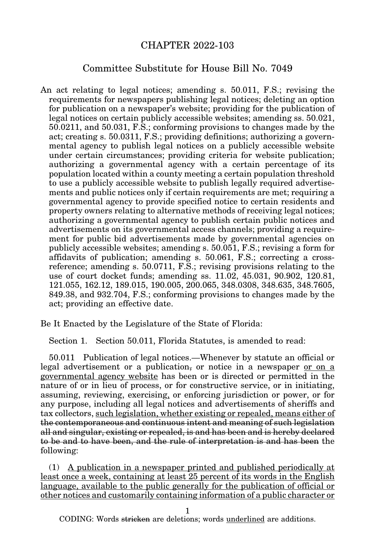# CHAPTER 2022-103

# Committee Substitute for House Bill No. 7049

An act relating to legal notices; amending s. 50.011, F.S.; revising the requirements for newspapers publishing legal notices; deleting an option for publication on a newspaper's website; providing for the publication of legal notices on certain publicly accessible websites; amending ss. 50.021, 50.0211, and 50.031, F.S.; conforming provisions to changes made by the act; creating s. 50.0311, F.S.; providing definitions; authorizing a governmental agency to publish legal notices on a publicly accessible website under certain circumstances; providing criteria for website publication; authorizing a governmental agency with a certain percentage of its population located within a county meeting a certain population threshold to use a publicly accessible website to publish legally required advertisements and public notices only if certain requirements are met; requiring a governmental agency to provide specified notice to certain residents and property owners relating to alternative methods of receiving legal notices; authorizing a governmental agency to publish certain public notices and advertisements on its governmental access channels; providing a requirement for public bid advertisements made by governmental agencies on publicly accessible websites; amending s. 50.051, F.S.; revising a form for affidavits of publication; amending s. 50.061, F.S.; correcting a crossreference; amending s. 50.0711, F.S.; revising provisions relating to the use of court docket funds; amending ss. 11.02, 45.031, 90.902, 120.81, 121.055, 162.12, 189.015, 190.005, 200.065, 348.0308, 348.635, 348.7605, 849.38, and 932.704, F.S.; conforming provisions to changes made by the act; providing an effective date.

Be It Enacted by the Legislature of the State of Florida:

Section 1. Section 50.011, Florida Statutes, is amended to read:

50.011 Publication of legal notices.—Whenever by statute an official or legal advertisement or a publication, or notice in a newspaper or on a governmental agency website has been or is directed or permitted in the nature of or in lieu of process, or for constructive service, or in initiating, assuming, reviewing, exercising, or enforcing jurisdiction or power, or for any purpose, including all legal notices and advertisements of sheriffs and tax collectors, such legislation, whether existing or repealed, means either of the contemporaneous and continuous intent and meaning of such legislation all and singular, existing or repealed, is and has been and is hereby declared to be and to have been, and the rule of interpretation is and has been the following:

(1) A publication in a newspaper printed and published periodically at least once a week, containing at least 25 percent of its words in the English language, available to the public generally for the publication of official or other notices and customarily containing information of a public character or

1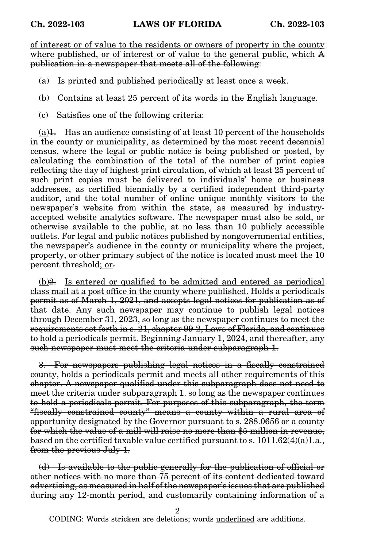of interest or of value to the residents or owners of property in the county where published, or of interest or of value to the general public, which A publication in a newspaper that meets all of the following:

(a) Is printed and published periodically at least once a week.

(b) Contains at least 25 percent of its words in the English language.

(c) Satisfies one of the following criteria:

 $(a)$ 1. Has an audience consisting of at least 10 percent of the households in the county or municipality, as determined by the most recent decennial census, where the legal or public notice is being published or posted, by calculating the combination of the total of the number of print copies reflecting the day of highest print circulation, of which at least 25 percent of such print copies must be delivered to individuals' home or business addresses, as certified biennially by a certified independent third-party auditor, and the total number of online unique monthly visitors to the newspaper's website from within the state, as measured by industryaccepted website analytics software. The newspaper must also be sold, or otherwise available to the public, at no less than 10 publicly accessible outlets. For legal and public notices published by nongovernmental entities, the newspaper's audience in the county or municipality where the project, property, or other primary subject of the notice is located must meet the 10 percent threshold; or-

(b)2. Is entered or qualified to be admitted and entered as periodical class mail at a post office in the county where published. Holds a periodicals permit as of March 1, 2021, and accepts legal notices for publication as of that date. Any such newspaper may continue to publish legal notices through December 31, 2023, so long as the newspaper continues to meet the requirements set forth in s. 21, chapter 99-2, Laws of Florida, and continues to hold a periodicals permit. Beginning January 1, 2024, and thereafter, any such newspaper must meet the criteria under subparagraph 1.

3. For newspapers publishing legal notices in a fiscally constrained county, holds a periodicals permit and meets all other requirements of this chapter. A newspaper qualified under this subparagraph does not need to meet the criteria under subparagraph 1. so long as the newspaper continues to hold a periodicals permit. For purposes of this subparagraph, the term "fiscally constrained county" means a county within a rural area of opportunity designated by the Governor pursuant to s. 288.0656 or a county for which the value of a mill will raise no more than \$5 million in revenue, based on the certified taxable value certified pursuant to s.  $1011.62(4)(a)1.a.,$ from the previous July 1.

(d) Is available to the public generally for the publication of official or other notices with no more than 75 percent of its content dedicated toward advertising, as measured in half of the newspaper's issues that are published during any 12-month period, and customarily containing information of a

2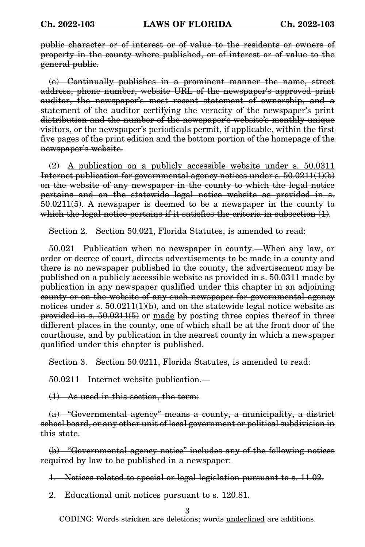public character or of interest or of value to the residents or owners of property in the county where published, or of interest or of value to the general public.

(e) Continually publishes in a prominent manner the name, street address, phone number, website URL of the newspaper's approved print auditor, the newspaper's most recent statement of ownership, and a statement of the auditor certifying the veracity of the newspaper's print distribution and the number of the newspaper's website's monthly unique visitors, or the newspaper's periodicals permit, if applicable, within the first five pages of the print edition and the bottom portion of the homepage of the newspaper's website.

(2) A publication on a publicly accessible website under s. 50.0311 Internet publication for governmental agency notices under  $s. 50.0211(1)(b)$ on the website of any newspaper in the county to which the legal notice pertains and on the statewide legal notice website as provided in s. 50.0211(5). A newspaper is deemed to be a newspaper in the county to which the legal notice pertains if it satisfies the criteria in subsection  $(1)$ .

Section 2. Section 50.021, Florida Statutes, is amended to read:

50.021 Publication when no newspaper in county.—When any law, or order or decree of court, directs advertisements to be made in a county and there is no newspaper published in the county, the advertisement may be published on a publicly accessible website as provided in s. 50.0311 made by publication in any newspaper qualified under this chapter in an adjoining county or on the website of any such newspaper for governmental agency notices under s.  $50.0211(1)(b)$ , and on the statewide legal notice website as provided in s. 50.0211(5) or made by posting three copies thereof in three different places in the county, one of which shall be at the front door of the courthouse, and by publication in the nearest county in which a newspaper qualified under this chapter is published.

Section 3. Section 50.0211, Florida Statutes, is amended to read:

50.0211 Internet website publication.—

(1) As used in this section, the term:

(a) "Governmental agency" means a county, a municipality, a district school board, or any other unit of local government or political subdivision in this state.

(b) "Governmental agency notice" includes any of the following notices required by law to be published in a newspaper:

1. Notices related to special or legal legislation pursuant to s. 11.02.

2. Educational unit notices pursuant to s. 120.81.

3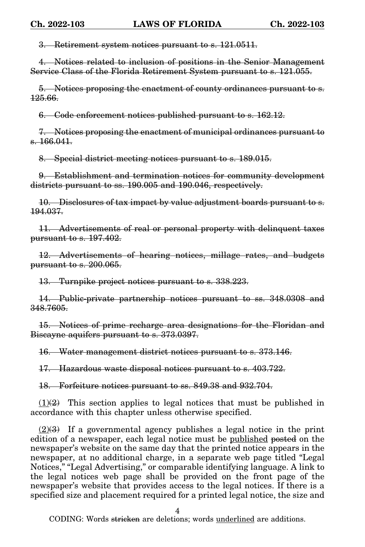3. Retirement system notices pursuant to s. 121.0511.

4. Notices related to inclusion of positions in the Senior Management Service Class of the Florida Retirement System pursuant to s. 121.055.

5. Notices proposing the enactment of county ordinances pursuant to s. 125.66.

6. Code enforcement notices published pursuant to s. 162.12.

7. Notices proposing the enactment of municipal ordinances pursuant to s. 166.041.

8. Special district meeting notices pursuant to s. 189.015.

9. Establishment and termination notices for community development districts pursuant to ss. 190.005 and 190.046, respectively.

10. Disclosures of tax impact by value adjustment boards pursuant to s. 194.037.

11. Advertisements of real or personal property with delinquent taxes pursuant to s. 197.402.

12. Advertisements of hearing notices, millage rates, and budgets pursuant to s. 200.065.

13. Turnpike project notices pursuant to s. 338.223.

14. Public-private partnership notices pursuant to ss. 348.0308 and 348.7605.

15. Notices of prime recharge area designations for the Floridan and Biscayne aquifers pursuant to s. 373.0397.

16. Water management district notices pursuant to s. 373.146.

17. Hazardous waste disposal notices pursuant to s. 403.722.

18. Forfeiture notices pursuant to ss. 849.38 and 932.704.

 $(1)(2)$  This section applies to legal notices that must be published in accordance with this chapter unless otherwise specified.

 $(2)(3)$  If a governmental agency publishes a legal notice in the print edition of a newspaper, each legal notice must be published posted on the newspaper's website on the same day that the printed notice appears in the newspaper, at no additional charge, in a separate web page titled "Legal Notices," "Legal Advertising," or comparable identifying language. A link to the legal notices web page shall be provided on the front page of the newspaper's website that provides access to the legal notices. If there is a specified size and placement required for a printed legal notice, the size and

4

CODING: Words <del>stricken</del> are deletions; words <u>underlined</u> are additions.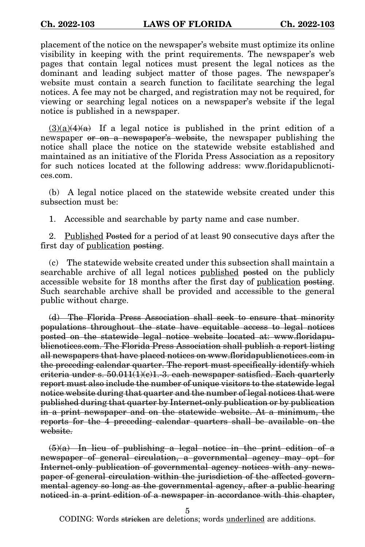placement of the notice on the newspaper's website must optimize its online visibility in keeping with the print requirements. The newspaper's web pages that contain legal notices must present the legal notices as the dominant and leading subject matter of those pages. The newspaper's website must contain a search function to facilitate searching the legal notices. A fee may not be charged, and registration may not be required, for viewing or searching legal notices on a newspaper's website if the legal notice is published in a newspaper.

 $(3)(a)(4)(a)$  If a legal notice is published in the print edition of a newspaper or on a newspaper's website, the newspaper publishing the notice shall place the notice on the statewide website established and maintained as an initiative of the Florida Press Association as a repository for such notices located at the following address: www.floridapublicnotices.com.

(b) A legal notice placed on the statewide website created under this subsection must be:

1. Accessible and searchable by party name and case number.

2. Published Posted for a period of at least 90 consecutive days after the first day of <u>publication</u> posting.

(c) The statewide website created under this subsection shall maintain a searchable archive of all legal notices published posted on the publicly accessible website for 18 months after the first day of publication posting. Such searchable archive shall be provided and accessible to the general public without charge.

(d) The Florida Press Association shall seek to ensure that minority populations throughout the state have equitable access to legal notices posted on the statewide legal notice website located at: www.floridapublicnotices.com. The Florida Press Association shall publish a report listing all newspapers that have placed notices on www.floridapublicnotices.com in the preceding calendar quarter. The report must specifically identify which criteria under s.  $50.011(1)(e)1.-3.$  each newspaper satisfied. Each quarterly report must also include the number of unique visitors to the statewide legal notice website during that quarter and the number of legal notices that were published during that quarter by Internet-only publication or by publication in a print newspaper and on the statewide website. At a minimum, the reports for the 4 preceding calendar quarters shall be available on the website.

 $(5)(a)$  In lieu of publishing a legal notice in the print edition of a newspaper of general circulation, a governmental agency may opt for Internet-only publication of governmental agency notices with any newspaper of general circulation within the jurisdiction of the affected governmental agency so long as the governmental agency, after a public hearing noticed in a print edition of a newspaper in accordance with this chapter,

5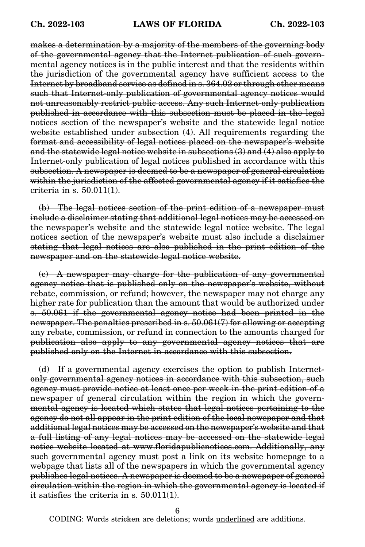makes a determination by a majority of the members of the governing body of the governmental agency that the Internet publication of such governmental agency notices is in the public interest and that the residents within the jurisdiction of the governmental agency have sufficient access to the Internet by broadband service as defined in s. 364.02 or through other means such that Internet-only publication of governmental agency notices would not unreasonably restrict public access. Any such Internet-only publication published in accordance with this subsection must be placed in the legal notices section of the newspaper's website and the statewide legal notice website established under subsection (4). All requirements regarding the format and accessibility of legal notices placed on the newspaper's website and the statewide legal notice website in subsections (3) and (4) also apply to Internet-only publication of legal notices published in accordance with this subsection. A newspaper is deemed to be a newspaper of general circulation within the jurisdiction of the affected governmental agency if it satisfies the criteria in s. 50.011(1).

(b) The legal notices section of the print edition of a newspaper must include a disclaimer stating that additional legal notices may be accessed on the newspaper's website and the statewide legal notice website. The legal notices section of the newspaper's website must also include a disclaimer stating that legal notices are also published in the print edition of the newspaper and on the statewide legal notice website.

(c) A newspaper may charge for the publication of any governmental agency notice that is published only on the newspaper's website, without rebate, commission, or refund; however, the newspaper may not charge any higher rate for publication than the amount that would be authorized under s. 50.061 if the governmental agency notice had been printed in the newspaper. The penalties prescribed in s. 50.061(7) for allowing or accepting any rebate, commission, or refund in connection to the amounts charged for publication also apply to any governmental agency notices that are published only on the Internet in accordance with this subsection.

(d) If a governmental agency exercises the option to publish Internetonly governmental agency notices in accordance with this subsection, such agency must provide notice at least once per week in the print edition of a newspaper of general circulation within the region in which the governmental agency is located which states that legal notices pertaining to the agency do not all appear in the print edition of the local newspaper and that additional legal notices may be accessed on the newspaper's website and that a full listing of any legal notices may be accessed on the statewide legal notice website located at www.floridapublicnotices.com. Additionally, any such governmental agency must post a link on its website homepage to a webpage that lists all of the newspapers in which the governmental agency publishes legal notices. A newspaper is deemed to be a newspaper of general circulation within the region in which the governmental agency is located if it satisfies the criteria in s. 50.011(1).

6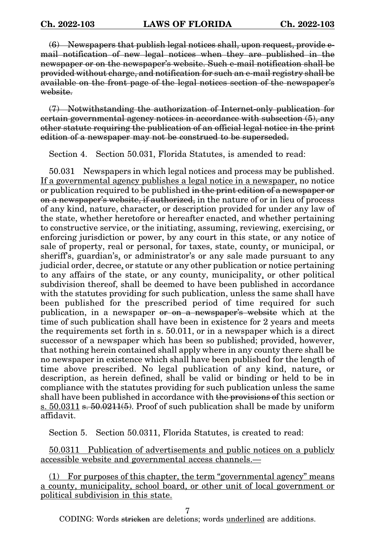(6) Newspapers that publish legal notices shall, upon request, provide email notification of new legal notices when they are published in the newspaper or on the newspaper's website. Such e-mail notification shall be provided without charge, and notification for such an e-mail registry shall be available on the front page of the legal notices section of the newspaper's website.

(7) Notwithstanding the authorization of Internet-only publication for certain governmental agency notices in accordance with subsection (5), any other statute requiring the publication of an official legal notice in the print edition of a newspaper may not be construed to be superseded.

Section 4. Section 50.031, Florida Statutes, is amended to read:

50.031 Newspapers in which legal notices and process may be published. If a governmental agency publishes a legal notice in a newspaper, no notice or publication required to be published in the print edition of a newspaper or on a newspaper's website, if authorized, in the nature of or in lieu of process of any kind, nature, character, or description provided for under any law of the state, whether heretofore or hereafter enacted, and whether pertaining to constructive service, or the initiating, assuming, reviewing, exercising, or enforcing jurisdiction or power, by any court in this state, or any notice of sale of property, real or personal, for taxes, state, county, or municipal, or sheriff's, guardian's, or administrator's or any sale made pursuant to any judicial order, decree, or statute or any other publication or notice pertaining to any affairs of the state, or any county, municipality, or other political subdivision thereof, shall be deemed to have been published in accordance with the statutes providing for such publication, unless the same shall have been published for the prescribed period of time required for such publication, in a newspaper or on a newspaper's website which at the time of such publication shall have been in existence for 2 years and meets the requirements set forth in s. 50.011, or in a newspaper which is a direct successor of a newspaper which has been so published; provided, however, that nothing herein contained shall apply where in any county there shall be no newspaper in existence which shall have been published for the length of time above prescribed. No legal publication of any kind, nature, or description, as herein defined, shall be valid or binding or held to be in compliance with the statutes providing for such publication unless the same shall have been published in accordance with the provisions of this section or  $s. 50.0311 s. 50.0211(5)$ . Proof of such publication shall be made by uniform affidavit.

Section 5. Section 50.0311, Florida Statutes, is created to read:

50.0311 Publication of advertisements and public notices on a publicly accessible website and governmental access channels.—

(1) For purposes of this chapter, the term "governmental agency" means a county, municipality, school board, or other unit of local government or political subdivision in this state.

7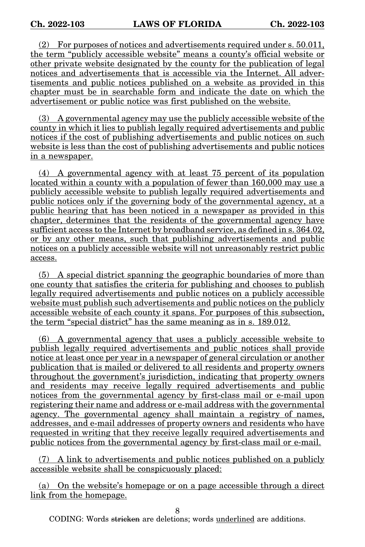(2) For purposes of notices and advertisements required under s. 50.011, the term "publicly accessible website" means a county's official website or other private website designated by the county for the publication of legal notices and advertisements that is accessible via the Internet. All advertisements and public notices published on a website as provided in this chapter must be in searchable form and indicate the date on which the advertisement or public notice was first published on the website.

(3) A governmental agency may use the publicly accessible website of the county in which it lies to publish legally required advertisements and public notices if the cost of publishing advertisements and public notices on such website is less than the cost of publishing advertisements and public notices in a newspaper.

(4) A governmental agency with at least 75 percent of its population located within a county with a population of fewer than 160,000 may use a publicly accessible website to publish legally required advertisements and public notices only if the governing body of the governmental agency, at a public hearing that has been noticed in a newspaper as provided in this chapter, determines that the residents of the governmental agency have sufficient access to the Internet by broadband service, as defined in s. 364.02, or by any other means, such that publishing advertisements and public notices on a publicly accessible website will not unreasonably restrict public access.

(5) A special district spanning the geographic boundaries of more than one county that satisfies the criteria for publishing and chooses to publish legally required advertisements and public notices on a publicly accessible website must publish such advertisements and public notices on the publicly accessible website of each county it spans. For purposes of this subsection, the term "special district" has the same meaning as in s. 189.012.

(6) A governmental agency that uses a publicly accessible website to publish legally required advertisements and public notices shall provide notice at least once per year in a newspaper of general circulation or another publication that is mailed or delivered to all residents and property owners throughout the government's jurisdiction, indicating that property owners and residents may receive legally required advertisements and public notices from the governmental agency by first-class mail or e-mail upon registering their name and address or e-mail address with the governmental agency. The governmental agency shall maintain a registry of names, addresses, and e-mail addresses of property owners and residents who have requested in writing that they receive legally required advertisements and public notices from the governmental agency by first-class mail or e-mail.

(7) A link to advertisements and public notices published on a publicly accessible website shall be conspicuously placed:

(a) On the website's homepage or on a page accessible through a direct link from the homepage.

8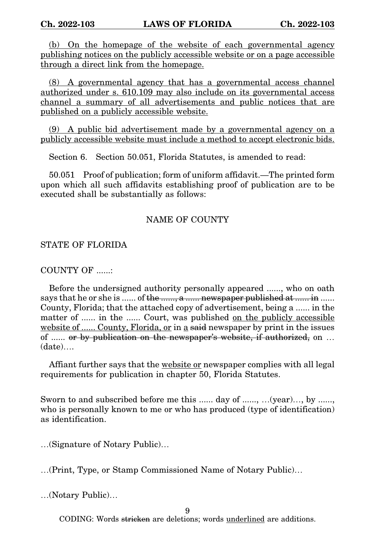(b) On the homepage of the website of each governmental agency publishing notices on the publicly accessible website or on a page accessible through a direct link from the homepage.

(8) A governmental agency that has a governmental access channel authorized under s. 610.109 may also include on its governmental access channel a summary of all advertisements and public notices that are published on a publicly accessible website.

(9) A public bid advertisement made by a governmental agency on a publicly accessible website must include a method to accept electronic bids.

Section 6. Section 50.051, Florida Statutes, is amended to read:

50.051 Proof of publication; form of uniform affidavit.—The printed form upon which all such affidavits establishing proof of publication are to be executed shall be substantially as follows:

### NAME OF COUNTY

#### STATE OF FLORIDA

### COUNTY OF ......:

Before the undersigned authority personally appeared ......, who on oath says that he or she is ...... of the ......., a ...... newspaper published at ...... in ...... County, Florida; that the attached copy of advertisement, being a ...... in the matter of ...... in the ...... Court, was published on the publicly accessible website of ...... County, Florida, or in a said newspaper by print in the issues of ...... or by publication on the newspaper's website, if authorized, on … (date)….

Affiant further says that the website or newspaper complies with all legal requirements for publication in chapter 50, Florida Statutes.

Sworn to and subscribed before me this ...... day of ......, ... (year)..., by ......, who is personally known to me or who has produced (type of identification) as identification.

…(Signature of Notary Public)…

…(Print, Type, or Stamp Commissioned Name of Notary Public)…

…(Notary Public)…

9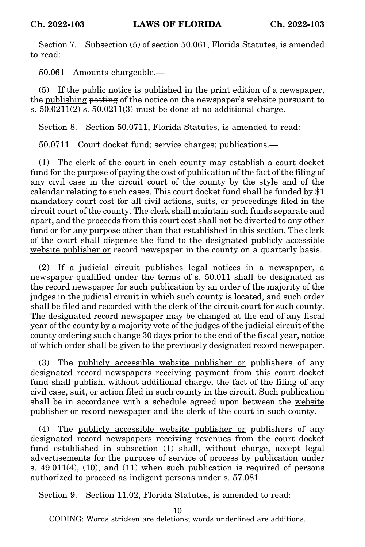Section 7. Subsection (5) of section 50.061, Florida Statutes, is amended to read:

50.061 Amounts chargeable.—

(5) If the public notice is published in the print edition of a newspaper, the publishing posting of the notice on the newspaper's website pursuant to s.  $50.0211(2)$  s.  $50.0211(3)$  must be done at no additional charge.

Section 8. Section 50.0711, Florida Statutes, is amended to read:

50.0711 Court docket fund; service charges; publications.—

(1) The clerk of the court in each county may establish a court docket fund for the purpose of paying the cost of publication of the fact of the filing of any civil case in the circuit court of the county by the style and of the calendar relating to such cases. This court docket fund shall be funded by \$1 mandatory court cost for all civil actions, suits, or proceedings filed in the circuit court of the county. The clerk shall maintain such funds separate and apart, and the proceeds from this court cost shall not be diverted to any other fund or for any purpose other than that established in this section. The clerk of the court shall dispense the fund to the designated publicly accessible website publisher or record newspaper in the county on a quarterly basis.

(2) If a judicial circuit publishes legal notices in a newspaper, a newspaper qualified under the terms of s. 50.011 shall be designated as the record newspaper for such publication by an order of the majority of the judges in the judicial circuit in which such county is located, and such order shall be filed and recorded with the clerk of the circuit court for such county. The designated record newspaper may be changed at the end of any fiscal year of the county by a majority vote of the judges of the judicial circuit of the county ordering such change 30 days prior to the end of the fiscal year, notice of which order shall be given to the previously designated record newspaper.

(3) The publicly accessible website publisher or publishers of any designated record newspapers receiving payment from this court docket fund shall publish, without additional charge, the fact of the filing of any civil case, suit, or action filed in such county in the circuit. Such publication shall be in accordance with a schedule agreed upon between the website publisher or record newspaper and the clerk of the court in such county.

(4) The publicly accessible website publisher or publishers of any designated record newspapers receiving revenues from the court docket fund established in subsection (1) shall, without charge, accept legal advertisements for the purpose of service of process by publication under s.  $49.011(4)$ ,  $(10)$ , and  $(11)$  when such publication is required of persons authorized to proceed as indigent persons under s. 57.081.

Section 9. Section 11.02, Florida Statutes, is amended to read:

10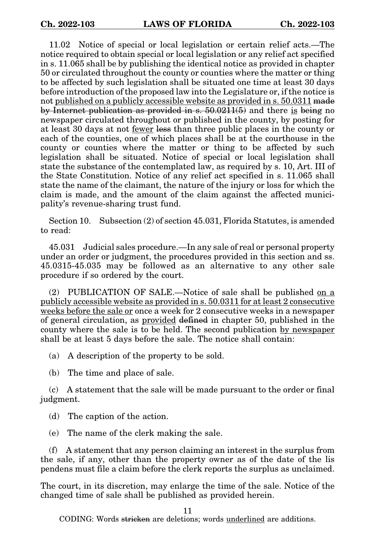11.02 Notice of special or local legislation or certain relief acts.—The notice required to obtain special or local legislation or any relief act specified in s. 11.065 shall be by publishing the identical notice as provided in chapter 50 or circulated throughout the county or counties where the matter or thing to be affected by such legislation shall be situated one time at least 30 days before introduction of the proposed law into the Legislature or, if the notice is not published on a publicly accessible website as provided in s. 50.0311 made by Internet publication as provided in s. 50.0211(5) and there is being no newspaper circulated throughout or published in the county, by posting for at least 30 days at not fewer less than three public places in the county or each of the counties, one of which places shall be at the courthouse in the county or counties where the matter or thing to be affected by such legislation shall be situated. Notice of special or local legislation shall state the substance of the contemplated law, as required by s. 10, Art. III of the State Constitution. Notice of any relief act specified in s. 11.065 shall state the name of the claimant, the nature of the injury or loss for which the claim is made, and the amount of the claim against the affected municipality's revenue-sharing trust fund.

Section 10. Subsection (2) of section 45.031, Florida Statutes, is amended to read:

45.031 Judicial sales procedure.—In any sale of real or personal property under an order or judgment, the procedures provided in this section and ss. 45.0315-45.035 may be followed as an alternative to any other sale procedure if so ordered by the court.

(2) PUBLICATION OF SALE.—Notice of sale shall be published on a publicly accessible website as provided in s. 50.0311 for at least 2 consecutive weeks before the sale or once a week for 2 consecutive weeks in a newspaper of general circulation, as provided defined in chapter 50, published in the county where the sale is to be held. The second publication by newspaper shall be at least 5 days before the sale. The notice shall contain:

(a) A description of the property to be sold.

(b) The time and place of sale.

(c) A statement that the sale will be made pursuant to the order or final judgment.

(d) The caption of the action.

(e) The name of the clerk making the sale.

(f) A statement that any person claiming an interest in the surplus from the sale, if any, other than the property owner as of the date of the lis pendens must file a claim before the clerk reports the surplus as unclaimed.

The court, in its discretion, may enlarge the time of the sale. Notice of the changed time of sale shall be published as provided herein.

11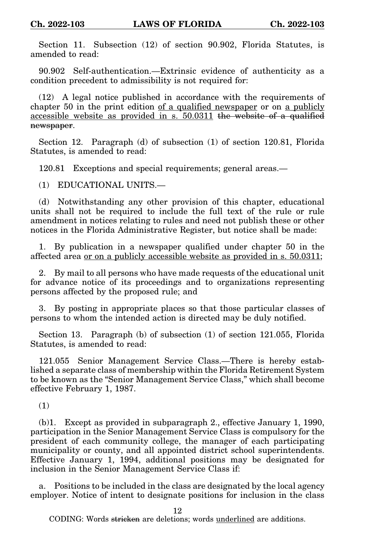Section 11. Subsection (12) of section 90.902, Florida Statutes, is amended to read:

90.902 Self-authentication.—Extrinsic evidence of authenticity as a condition precedent to admissibility is not required for:

(12) A legal notice published in accordance with the requirements of chapter 50 in the print edition of a qualified newspaper or on a publicly accessible website as provided in s. 50.0311 the website of a qualified newspaper.

Section 12. Paragraph (d) of subsection (1) of section 120.81, Florida Statutes, is amended to read:

120.81 Exceptions and special requirements; general areas.—

(1) EDUCATIONAL UNITS.—

(d) Notwithstanding any other provision of this chapter, educational units shall not be required to include the full text of the rule or rule amendment in notices relating to rules and need not publish these or other notices in the Florida Administrative Register, but notice shall be made:

1. By publication in a newspaper qualified under chapter 50 in the affected area or on a publicly accessible website as provided in s. 50.0311;

2. By mail to all persons who have made requests of the educational unit for advance notice of its proceedings and to organizations representing persons affected by the proposed rule; and

3. By posting in appropriate places so that those particular classes of persons to whom the intended action is directed may be duly notified.

Section 13. Paragraph (b) of subsection (1) of section 121.055, Florida Statutes, is amended to read:

121.055 Senior Management Service Class.—There is hereby established a separate class of membership within the Florida Retirement System to be known as the "Senior Management Service Class," which shall become effective February 1, 1987.

(1)

(b)1. Except as provided in subparagraph 2., effective January 1, 1990, participation in the Senior Management Service Class is compulsory for the president of each community college, the manager of each participating municipality or county, and all appointed district school superintendents. Effective January 1, 1994, additional positions may be designated for inclusion in the Senior Management Service Class if:

a. Positions to be included in the class are designated by the local agency employer. Notice of intent to designate positions for inclusion in the class

12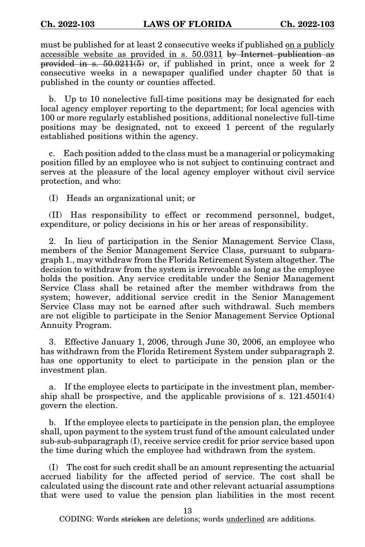must be published for at least 2 consecutive weeks if published on a publicly accessible website as provided in s. 50.0311 by Internet publication as provided in s.  $50.0211(5)$  or, if published in print, once a week for 2 consecutive weeks in a newspaper qualified under chapter 50 that is published in the county or counties affected.

b. Up to 10 nonelective full-time positions may be designated for each local agency employer reporting to the department; for local agencies with 100 or more regularly established positions, additional nonelective full-time positions may be designated, not to exceed 1 percent of the regularly established positions within the agency.

c. Each position added to the class must be a managerial or policymaking position filled by an employee who is not subject to continuing contract and serves at the pleasure of the local agency employer without civil service protection, and who:

(I) Heads an organizational unit; or

(II) Has responsibility to effect or recommend personnel, budget, expenditure, or policy decisions in his or her areas of responsibility.

2. In lieu of participation in the Senior Management Service Class, members of the Senior Management Service Class, pursuant to subparagraph 1., may withdraw from the Florida Retirement System altogether. The decision to withdraw from the system is irrevocable as long as the employee holds the position. Any service creditable under the Senior Management Service Class shall be retained after the member withdraws from the system; however, additional service credit in the Senior Management Service Class may not be earned after such withdrawal. Such members are not eligible to participate in the Senior Management Service Optional Annuity Program.

3. Effective January 1, 2006, through June 30, 2006, an employee who has withdrawn from the Florida Retirement System under subparagraph 2. has one opportunity to elect to participate in the pension plan or the investment plan.

a. If the employee elects to participate in the investment plan, membership shall be prospective, and the applicable provisions of s. 121.4501(4) govern the election.

b. If the employee elects to participate in the pension plan, the employee shall, upon payment to the system trust fund of the amount calculated under sub-sub-subparagraph (I), receive service credit for prior service based upon the time during which the employee had withdrawn from the system.

(I) The cost for such credit shall be an amount representing the actuarial accrued liability for the affected period of service. The cost shall be calculated using the discount rate and other relevant actuarial assumptions that were used to value the pension plan liabilities in the most recent

13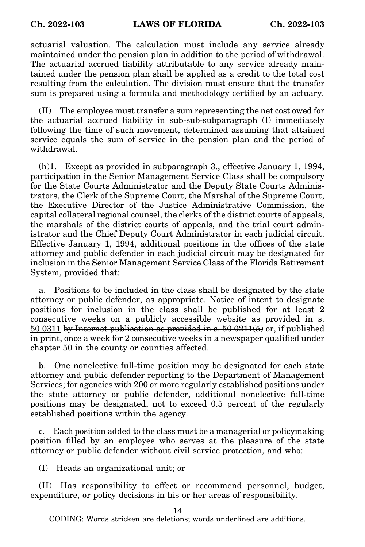actuarial valuation. The calculation must include any service already maintained under the pension plan in addition to the period of withdrawal. The actuarial accrued liability attributable to any service already maintained under the pension plan shall be applied as a credit to the total cost resulting from the calculation. The division must ensure that the transfer sum is prepared using a formula and methodology certified by an actuary.

(II) The employee must transfer a sum representing the net cost owed for the actuarial accrued liability in sub-sub-subparagraph (I) immediately following the time of such movement, determined assuming that attained service equals the sum of service in the pension plan and the period of withdrawal.

(h)1. Except as provided in subparagraph 3., effective January 1, 1994, participation in the Senior Management Service Class shall be compulsory for the State Courts Administrator and the Deputy State Courts Administrators, the Clerk of the Supreme Court, the Marshal of the Supreme Court, the Executive Director of the Justice Administrative Commission, the capital collateral regional counsel, the clerks of the district courts of appeals, the marshals of the district courts of appeals, and the trial court administrator and the Chief Deputy Court Administrator in each judicial circuit. Effective January 1, 1994, additional positions in the offices of the state attorney and public defender in each judicial circuit may be designated for inclusion in the Senior Management Service Class of the Florida Retirement System, provided that:

a. Positions to be included in the class shall be designated by the state attorney or public defender, as appropriate. Notice of intent to designate positions for inclusion in the class shall be published for at least 2 consecutive weeks on a publicly accessible website as provided in s. 50.0311 by Internet publication as provided in s.  $50.0211(5)$  or, if published in print, once a week for 2 consecutive weeks in a newspaper qualified under chapter 50 in the county or counties affected.

b. One nonelective full-time position may be designated for each state attorney and public defender reporting to the Department of Management Services; for agencies with 200 or more regularly established positions under the state attorney or public defender, additional nonelective full-time positions may be designated, not to exceed 0.5 percent of the regularly established positions within the agency.

c. Each position added to the class must be a managerial or policymaking position filled by an employee who serves at the pleasure of the state attorney or public defender without civil service protection, and who:

(I) Heads an organizational unit; or

(II) Has responsibility to effect or recommend personnel, budget, expenditure, or policy decisions in his or her areas of responsibility.

14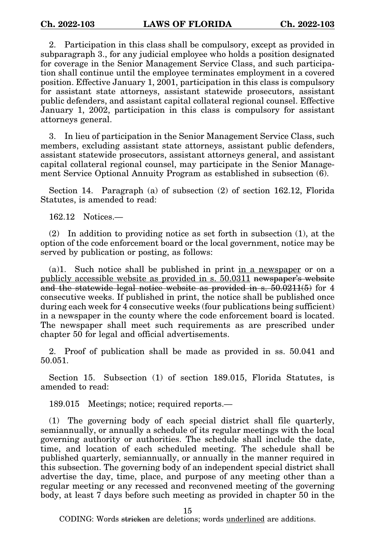2. Participation in this class shall be compulsory, except as provided in subparagraph 3., for any judicial employee who holds a position designated for coverage in the Senior Management Service Class, and such participation shall continue until the employee terminates employment in a covered position. Effective January 1, 2001, participation in this class is compulsory for assistant state attorneys, assistant statewide prosecutors, assistant public defenders, and assistant capital collateral regional counsel. Effective January 1, 2002, participation in this class is compulsory for assistant attorneys general.

3. In lieu of participation in the Senior Management Service Class, such members, excluding assistant state attorneys, assistant public defenders, assistant statewide prosecutors, assistant attorneys general, and assistant capital collateral regional counsel, may participate in the Senior Management Service Optional Annuity Program as established in subsection (6).

Section 14. Paragraph (a) of subsection (2) of section 162.12, Florida Statutes, is amended to read:

162.12 Notices.—

(2) In addition to providing notice as set forth in subsection (1), at the option of the code enforcement board or the local government, notice may be served by publication or posting, as follows:

 $(a)$ 1. Such notice shall be published in print in a newspaper or on a publicly accessible website as provided in s. 50.0311 newspaper's website and the statewide legal notice website as provided in s. 50.0211(5) for 4 consecutive weeks. If published in print, the notice shall be published once during each week for 4 consecutive weeks (four publications being sufficient) in a newspaper in the county where the code enforcement board is located. The newspaper shall meet such requirements as are prescribed under chapter 50 for legal and official advertisements.

2. Proof of publication shall be made as provided in ss. 50.041 and 50.051.

Section 15. Subsection (1) of section 189.015, Florida Statutes, is amended to read:

189.015 Meetings; notice; required reports.—

(1) The governing body of each special district shall file quarterly, semiannually, or annually a schedule of its regular meetings with the local governing authority or authorities. The schedule shall include the date, time, and location of each scheduled meeting. The schedule shall be published quarterly, semiannually, or annually in the manner required in this subsection. The governing body of an independent special district shall advertise the day, time, place, and purpose of any meeting other than a regular meeting or any recessed and reconvened meeting of the governing body, at least 7 days before such meeting as provided in chapter 50 in the

15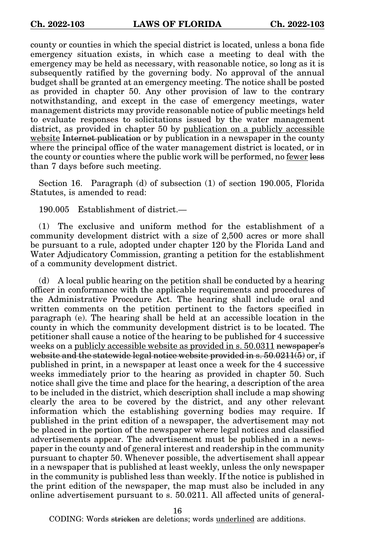county or counties in which the special district is located, unless a bona fide emergency situation exists, in which case a meeting to deal with the emergency may be held as necessary, with reasonable notice, so long as it is subsequently ratified by the governing body. No approval of the annual budget shall be granted at an emergency meeting. The notice shall be posted as provided in chapter 50. Any other provision of law to the contrary notwithstanding, and except in the case of emergency meetings, water management districts may provide reasonable notice of public meetings held to evaluate responses to solicitations issued by the water management district, as provided in chapter 50 by publication on a publicly accessible website Internet publication or by publication in a newspaper in the county where the principal office of the water management district is located, or in the county or counties where the public work will be performed, no fewer less than 7 days before such meeting.

Section 16. Paragraph (d) of subsection (1) of section 190.005, Florida Statutes, is amended to read:

190.005 Establishment of district.—

(1) The exclusive and uniform method for the establishment of a community development district with a size of 2,500 acres or more shall be pursuant to a rule, adopted under chapter 120 by the Florida Land and Water Adjudicatory Commission, granting a petition for the establishment of a community development district.

(d) A local public hearing on the petition shall be conducted by a hearing officer in conformance with the applicable requirements and procedures of the Administrative Procedure Act. The hearing shall include oral and written comments on the petition pertinent to the factors specified in paragraph (e). The hearing shall be held at an accessible location in the county in which the community development district is to be located. The petitioner shall cause a notice of the hearing to be published for 4 successive weeks on a publicly accessible website as provided in s. 50.0311 newspaper's website and the statewide legal notice website provided in  $s$ . 50.0211(5) or, if published in print, in a newspaper at least once a week for the 4 successive weeks immediately prior to the hearing as provided in chapter 50. Such notice shall give the time and place for the hearing, a description of the area to be included in the district, which description shall include a map showing clearly the area to be covered by the district, and any other relevant information which the establishing governing bodies may require. If published in the print edition of a newspaper, the advertisement may not be placed in the portion of the newspaper where legal notices and classified advertisements appear. The advertisement must be published in a newspaper in the county and of general interest and readership in the community pursuant to chapter 50. Whenever possible, the advertisement shall appear in a newspaper that is published at least weekly, unless the only newspaper in the community is published less than weekly. If the notice is published in the print edition of the newspaper, the map must also be included in any online advertisement pursuant to s. 50.0211. All affected units of general-

16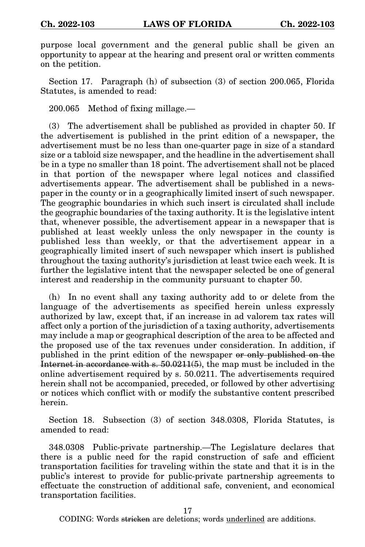purpose local government and the general public shall be given an opportunity to appear at the hearing and present oral or written comments on the petition.

Section 17. Paragraph (h) of subsection (3) of section 200.065, Florida Statutes, is amended to read:

200.065 Method of fixing millage.—

(3) The advertisement shall be published as provided in chapter 50. If the advertisement is published in the print edition of a newspaper, the advertisement must be no less than one-quarter page in size of a standard size or a tabloid size newspaper, and the headline in the advertisement shall be in a type no smaller than 18 point. The advertisement shall not be placed in that portion of the newspaper where legal notices and classified advertisements appear. The advertisement shall be published in a newspaper in the county or in a geographically limited insert of such newspaper. The geographic boundaries in which such insert is circulated shall include the geographic boundaries of the taxing authority. It is the legislative intent that, whenever possible, the advertisement appear in a newspaper that is published at least weekly unless the only newspaper in the county is published less than weekly, or that the advertisement appear in a geographically limited insert of such newspaper which insert is published throughout the taxing authority's jurisdiction at least twice each week. It is further the legislative intent that the newspaper selected be one of general interest and readership in the community pursuant to chapter 50.

(h) In no event shall any taxing authority add to or delete from the language of the advertisements as specified herein unless expressly authorized by law, except that, if an increase in ad valorem tax rates will affect only a portion of the jurisdiction of a taxing authority, advertisements may include a map or geographical description of the area to be affected and the proposed use of the tax revenues under consideration. In addition, if published in the print edition of the newspaper or only published on the Internet in accordance with s. 50.0211(5), the map must be included in the online advertisement required by s. 50.0211. The advertisements required herein shall not be accompanied, preceded, or followed by other advertising or notices which conflict with or modify the substantive content prescribed herein.

Section 18. Subsection (3) of section 348.0308, Florida Statutes, is amended to read:

348.0308 Public-private partnership.—The Legislature declares that there is a public need for the rapid construction of safe and efficient transportation facilities for traveling within the state and that it is in the public's interest to provide for public-private partnership agreements to effectuate the construction of additional safe, convenient, and economical transportation facilities.

17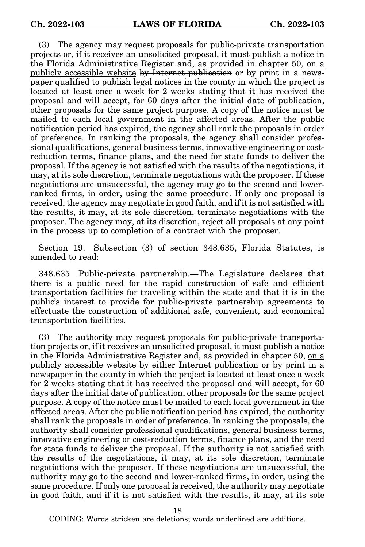(3) The agency may request proposals for public-private transportation projects or, if it receives an unsolicited proposal, it must publish a notice in the Florida Administrative Register and, as provided in chapter 50, on a publicly accessible website by Internet publication or by print in a newspaper qualified to publish legal notices in the county in which the project is located at least once a week for 2 weeks stating that it has received the proposal and will accept, for 60 days after the initial date of publication, other proposals for the same project purpose. A copy of the notice must be mailed to each local government in the affected areas. After the public notification period has expired, the agency shall rank the proposals in order of preference. In ranking the proposals, the agency shall consider professional qualifications, general business terms, innovative engineering or costreduction terms, finance plans, and the need for state funds to deliver the proposal. If the agency is not satisfied with the results of the negotiations, it may, at its sole discretion, terminate negotiations with the proposer. If these negotiations are unsuccessful, the agency may go to the second and lowerranked firms, in order, using the same procedure. If only one proposal is received, the agency may negotiate in good faith, and if it is not satisfied with the results, it may, at its sole discretion, terminate negotiations with the proposer. The agency may, at its discretion, reject all proposals at any point in the process up to completion of a contract with the proposer.

Section 19. Subsection (3) of section 348.635, Florida Statutes, is amended to read:

348.635 Public-private partnership.—The Legislature declares that there is a public need for the rapid construction of safe and efficient transportation facilities for traveling within the state and that it is in the public's interest to provide for public-private partnership agreements to effectuate the construction of additional safe, convenient, and economical transportation facilities.

(3) The authority may request proposals for public-private transportation projects or, if it receives an unsolicited proposal, it must publish a notice in the Florida Administrative Register and, as provided in chapter 50, on a publicly accessible website by either Internet publication or by print in a newspaper in the county in which the project is located at least once a week for 2 weeks stating that it has received the proposal and will accept, for 60 days after the initial date of publication, other proposals for the same project purpose. A copy of the notice must be mailed to each local government in the affected areas. After the public notification period has expired, the authority shall rank the proposals in order of preference. In ranking the proposals, the authority shall consider professional qualifications, general business terms, innovative engineering or cost-reduction terms, finance plans, and the need for state funds to deliver the proposal. If the authority is not satisfied with the results of the negotiations, it may, at its sole discretion, terminate negotiations with the proposer. If these negotiations are unsuccessful, the authority may go to the second and lower-ranked firms, in order, using the same procedure. If only one proposal is received, the authority may negotiate in good faith, and if it is not satisfied with the results, it may, at its sole

18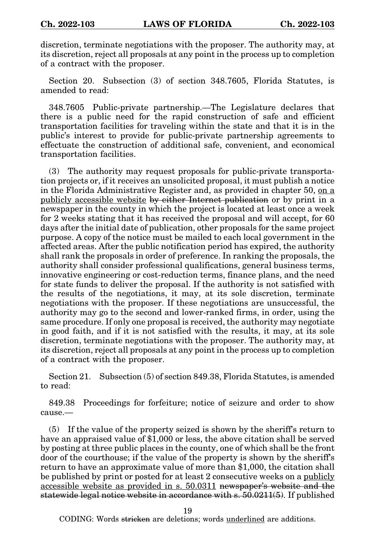discretion, terminate negotiations with the proposer. The authority may, at its discretion, reject all proposals at any point in the process up to completion of a contract with the proposer.

Section 20. Subsection (3) of section 348.7605, Florida Statutes, is amended to read:

348.7605 Public-private partnership.—The Legislature declares that there is a public need for the rapid construction of safe and efficient transportation facilities for traveling within the state and that it is in the public's interest to provide for public-private partnership agreements to effectuate the construction of additional safe, convenient, and economical transportation facilities.

(3) The authority may request proposals for public-private transportation projects or, if it receives an unsolicited proposal, it must publish a notice in the Florida Administrative Register and, as provided in chapter 50, on a publicly accessible website by either Internet publication or by print in a newspaper in the county in which the project is located at least once a week for 2 weeks stating that it has received the proposal and will accept, for 60 days after the initial date of publication, other proposals for the same project purpose. A copy of the notice must be mailed to each local government in the affected areas. After the public notification period has expired, the authority shall rank the proposals in order of preference. In ranking the proposals, the authority shall consider professional qualifications, general business terms, innovative engineering or cost-reduction terms, finance plans, and the need for state funds to deliver the proposal. If the authority is not satisfied with the results of the negotiations, it may, at its sole discretion, terminate negotiations with the proposer. If these negotiations are unsuccessful, the authority may go to the second and lower-ranked firms, in order, using the same procedure. If only one proposal is received, the authority may negotiate in good faith, and if it is not satisfied with the results, it may, at its sole discretion, terminate negotiations with the proposer. The authority may, at its discretion, reject all proposals at any point in the process up to completion of a contract with the proposer.

Section 21. Subsection (5) of section 849.38, Florida Statutes, is amended to read:

849.38 Proceedings for forfeiture; notice of seizure and order to show cause.—

(5) If the value of the property seized is shown by the sheriff's return to have an appraised value of \$1,000 or less, the above citation shall be served by posting at three public places in the county, one of which shall be the front door of the courthouse; if the value of the property is shown by the sheriff's return to have an approximate value of more than \$1,000, the citation shall be published by print or posted for at least 2 consecutive weeks on a publicly accessible website as provided in s. 50.0311 newspaper's website and the statewide legal notice website in accordance with s. 50.0211(5). If published

19